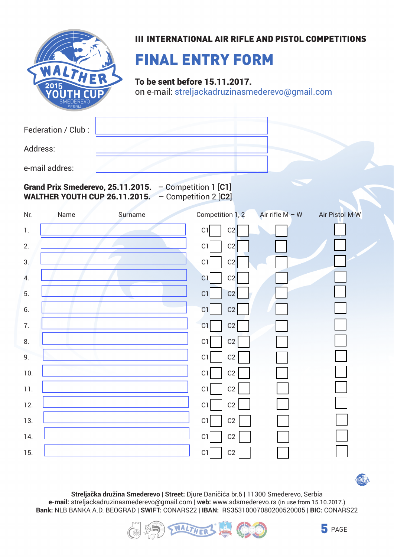

## **III INTERNATIONAL AIR RIFLE AND PISTOL COMPETITIONS**

## FINAL ENTRY FORM

To be sent before 15.11.2017.

on e-mail: streljackadruzinasmederevo@gmail.com

Federation / Club :

Address:

e-mail addres:

Grand Prix Smederevo, 25.11.2015. – Competition 1 [**C1**] WALTHER YOUTH CUP 26.11.2015. – Competition 2 [**C2**]

| Nr.              | Name | Surname | Competition 1, 2  | Air rifle $M - W$ | Air Pistol M-W |
|------------------|------|---------|-------------------|-------------------|----------------|
| $1.$             |      |         | C1<br>C2          |                   |                |
| 2.               |      |         | C1<br>C2          |                   |                |
| 3.               |      |         | C1<br>C2          |                   |                |
| $\overline{4}$ . |      |         | C1<br>C2          |                   |                |
| 5.               |      |         | C1<br>C2          |                   |                |
| 6.               |      |         | C2<br>C1          |                   |                |
| 7.               |      |         | C1<br>$\mbox{C2}$ |                   |                |
| 8.               |      |         | C1<br>C2          |                   |                |
| 9.               |      |         | C1<br>C2          |                   |                |
| 10.              |      |         | C1<br>C2          |                   |                |
| 11.              |      |         | C1<br>C2          |                   |                |
| 12.              |      |         | C1<br>C2          |                   |                |
| 13.              |      |         | C1<br>$\mbox{C2}$ |                   |                |
| 14.              |      |         | C1<br>$\mbox{C2}$ |                   |                |
| 15.              |      |         | C1<br>C2          |                   |                |

**Streljačka družina Smederevo** | **Street:** Djure Daničića br.6 | 11300 Smederevo, Serbia

**e-mail:** streljackadruzinasmederevo@gmail.com | **web:** www.sdsmederevo.rs (in use from 15.10.2017.) **Bank:** NLB BANKA A.D. BEOGRAD | **SWIFT:** CONARS22 | **IBAN:** RS35310007080200520005 | **BIC:** CONARS22